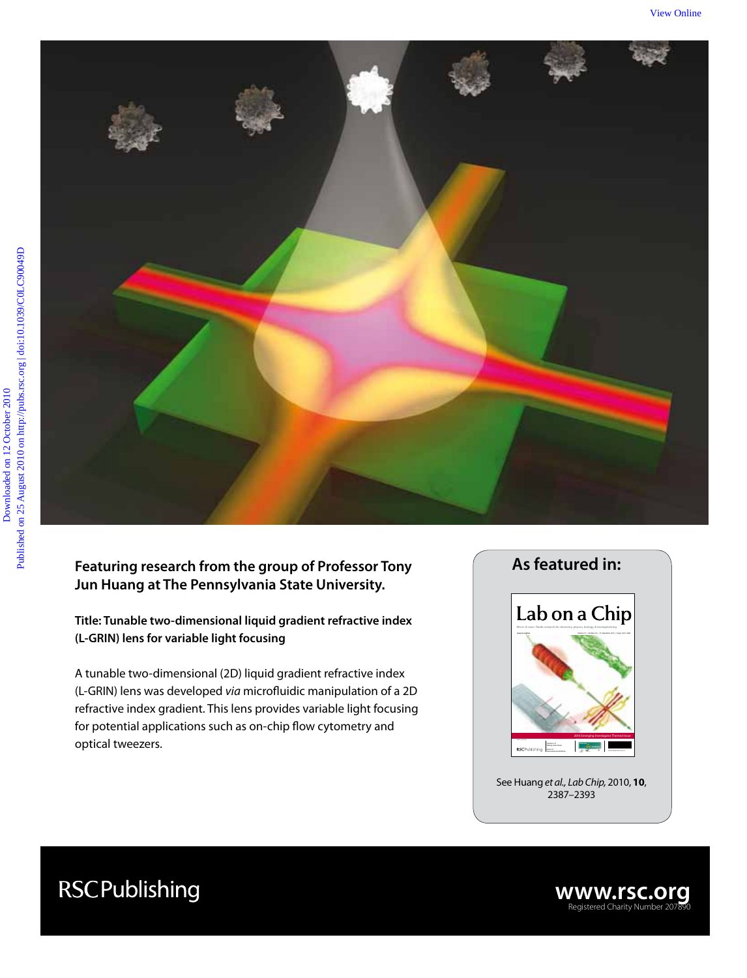

# **Featuring research from the group of Professor Tony Jun Huang at The Pennsylvania State University.**

**Title: Tunable two-dimensional liquid gradient refractive index (L-GRIN) lens for variable light focusing**

A tunable two-dimensional (2D) liquid gradient refractive index (L-GRIN) lens was developed *via* microfluidic manipulation of a 2D refractive index gradient. This lens provides variable light focusing for potential applications such as on-chip flow cytometry and optical tweezers.



See Huang *et al., Lab Chip,* 2010, **10**, 2387–2393



WWW.**rsc.org**<br>Registered Charity Number 207890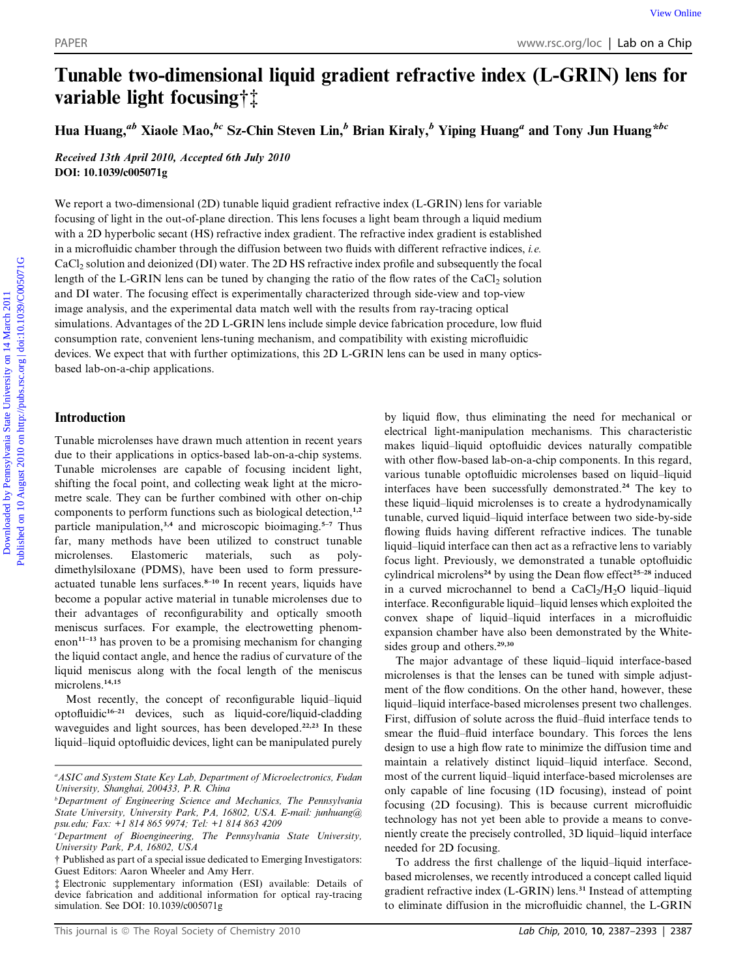# Tunable two-dimensional liquid gradient refractive index (L-GRIN) lens for variable light focusing†‡

Hua Huang,<sup>ab</sup> Xiaole Mao,<sup>bc</sup> Sz-Chin Steven Lin,<sup>b</sup> Brian Kiraly,<sup>b</sup> Yiping Huang<sup>a</sup> and Tony Jun Huang<sup>\*bc</sup>

Received 13th April 2010, Accepted 6th July 2010 DOI: 10.1039/c005071g

We report a two-dimensional (2D) tunable liquid gradient refractive index (L-GRIN) lens for variable focusing of light in the out-of-plane direction. This lens focuses a light beam through a liquid medium with a 2D hyperbolic secant (HS) refractive index gradient. The refractive index gradient is established in a microfluidic chamber through the diffusion between two fluids with different refractive indices, *i.e.* CaCl<sub>2</sub> solution and deionized (DI) water. The 2D HS refractive index profile and subsequently the focal length of the L-GRIN lens can be tuned by changing the ratio of the flow rates of the  $CaCl<sub>2</sub>$  solution and DI water. The focusing effect is experimentally characterized through side-view and top-view image analysis, and the experimental data match well with the results from ray-tracing optical simulations. Advantages of the 2D L-GRIN lens include simple device fabrication procedure, low fluid consumption rate, convenient lens-tuning mechanism, and compatibility with existing microfluidic devices. We expect that with further optimizations, this 2D L-GRIN lens can be used in many opticsbased lab-on-a-chip applications. PAPER<br>
Tunable two-dimensional liquid gradient refractive index (L-GRIN) lens for<br> **variable light focusing**  $\uparrow$ **;**<br>
Hua Huang.<sup>46</sup> Xaole Mao,<sup>14</sup> Sz-Chin Steven Lin,<sup>4</sup> Brian Kiraly,<sup>5</sup> Yiping Huang<sup>4</sup> and Tony Jun Huang

# Introduction

Tunable microlenses have drawn much attention in recent years due to their applications in optics-based lab-on-a-chip systems. Tunable microlenses are capable of focusing incident light, shifting the focal point, and collecting weak light at the micrometre scale. They can be further combined with other on-chip components to perform functions such as biological detection,<sup>1,2</sup> particle manipulation,<sup>3,4</sup> and microscopic bioimaging.<sup>5-7</sup> Thus far, many methods have been utilized to construct tunable microlenses. Elastomeric materials, such as polydimethylsiloxane (PDMS), have been used to form pressureactuated tunable lens surfaces.<sup>8-10</sup> In recent years, liquids have become a popular active material in tunable microlenses due to their advantages of reconfigurability and optically smooth meniscus surfaces. For example, the electrowetting phenomenon $11-13$  has proven to be a promising mechanism for changing the liquid contact angle, and hence the radius of curvature of the liquid meniscus along with the focal length of the meniscus microlens.<sup>14,15</sup>

Most recently, the concept of reconfigurable liquid–liquid optofluidic16–21 devices, such as liquid-core/liquid-cladding waveguides and light sources, has been developed.<sup>22,23</sup> In these liquid–liquid optofluidic devices, light can be manipulated purely

by liquid flow, thus eliminating the need for mechanical or electrical light-manipulation mechanisms. This characteristic makes liquid–liquid optofluidic devices naturally compatible with other flow-based lab-on-a-chip components. In this regard, various tunable optofluidic microlenses based on liquid–liquid interfaces have been successfully demonstrated.<sup>24</sup> The key to these liquid–liquid microlenses is to create a hydrodynamically tunable, curved liquid–liquid interface between two side-by-side flowing fluids having different refractive indices. The tunable liquid–liquid interface can then act as a refractive lens to variably focus light. Previously, we demonstrated a tunable optofluidic cylindrical microlens<sup>24</sup> by using the Dean flow effect<sup>25-28</sup> induced in a curved microchannel to bend a  $CaCl<sub>2</sub>/H<sub>2</sub>O$  liquid–liquid interface. Reconfigurable liquid–liquid lenses which exploited the convex shape of liquid–liquid interfaces in a microfluidic expansion chamber have also been demonstrated by the Whitesides group and others.<sup>29,30</sup>

The major advantage of these liquid–liquid interface-based microlenses is that the lenses can be tuned with simple adjustment of the flow conditions. On the other hand, however, these liquid–liquid interface-based microlenses present two challenges. First, diffusion of solute across the fluid–fluid interface tends to smear the fluid–fluid interface boundary. This forces the lens design to use a high flow rate to minimize the diffusion time and maintain a relatively distinct liquid–liquid interface. Second, most of the current liquid–liquid interface-based microlenses are only capable of line focusing (1D focusing), instead of point focusing (2D focusing). This is because current microfluidic technology has not yet been able to provide a means to conveniently create the precisely controlled, 3D liquid–liquid interface needed for 2D focusing.

To address the first challenge of the liquid–liquid interfacebased microlenses, we recently introduced a concept called liquid gradient refractive index (L-GRIN) lens.<sup>31</sup> Instead of attempting to eliminate diffusion in the microfluidic channel, the L-GRIN

<sup>&</sup>lt;sup>a</sup> ASIC and System State Key Lab, Department of Microelectronics, Fudan University, Shanghai, 200433, P.R. China

b Department of Engineering Science and Mechanics, The Pennsylvania State University, University Park, PA, 16802, USA. E-mail: junhuang@ psu.edu; Fax: +1 814 865 9974; Tel: +1 814 863 4209

c Department of Bioengineering, The Pennsylvania State University, University Park, PA, 16802, USA

<sup>†</sup> Published as part of a special issue dedicated to Emerging Investigators: Guest Editors: Aaron Wheeler and Amy Herr.

<sup>‡</sup> Electronic supplementary information (ESI) available: Details of device fabrication and additional information for optical ray-tracing simulation. See DOI: 10.1039/c005071g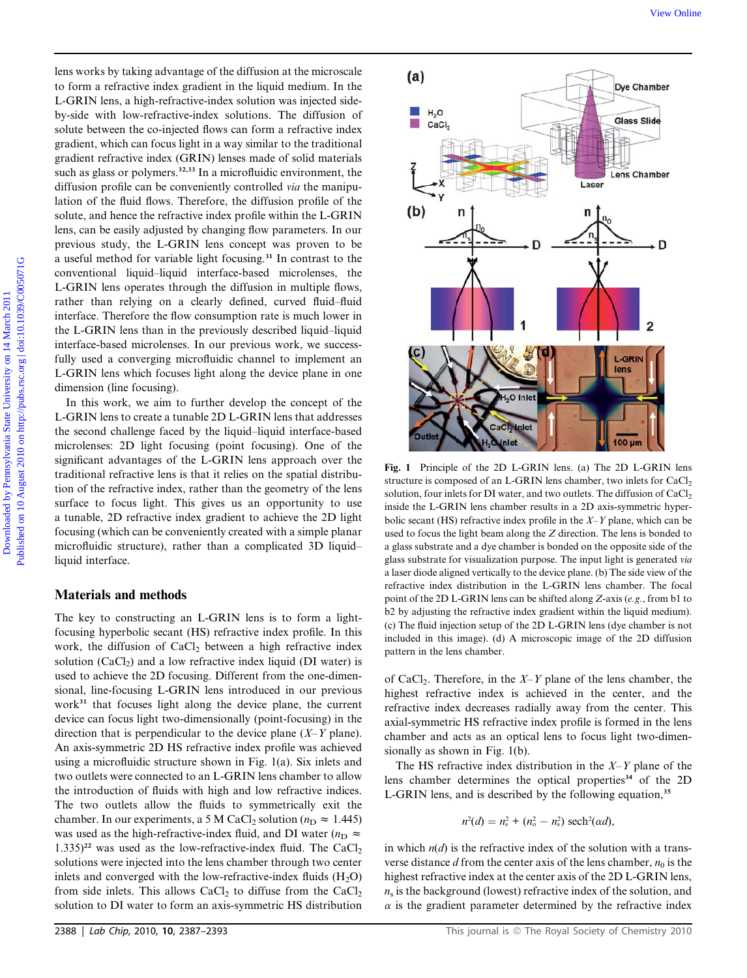lens works by taking advantage of the diffusion at the microscale to form a refractive index gradient in the liquid medium. In the L-GRIN lens, a high-refractive-index solution was injected sideby-side with low-refractive-index solutions. The diffusion of solute between the co-injected flows can form a refractive index gradient, which can focus light in a way similar to the traditional gradient refractive index (GRIN) lenses made of solid materials such as glass or polymers.<sup>32,33</sup> In a microfluidic environment, the diffusion profile can be conveniently controlled via the manipulation of the fluid flows. Therefore, the diffusion profile of the solute, and hence the refractive index profile within the L-GRIN lens, can be easily adjusted by changing flow parameters. In our previous study, the L-GRIN lens concept was proven to be a useful method for variable light focusing.<sup>31</sup> In contrast to the conventional liquid–liquid interface-based microlenses, the L-GRIN lens operates through the diffusion in multiple flows, rather than relying on a clearly defined, curved fluid–fluid interface. Therefore the flow consumption rate is much lower in the L-GRIN lens than in the previously described liquid–liquid interface-based microlenses. In our previous work, we successfully used a converging microfluidic channel to implement an L-GRIN lens which focuses light along the device plane in one dimension (line focusing).

In this work, we aim to further develop the concept of the L-GRIN lens to create a tunable 2D L-GRIN lens that addresses the second challenge faced by the liquid–liquid interface-based microlenses: 2D light focusing (point focusing). One of the significant advantages of the L-GRIN lens approach over the traditional refractive lens is that it relies on the spatial distribution of the refractive index, rather than the geometry of the lens surface to focus light. This gives us an opportunity to use a tunable, 2D refractive index gradient to achieve the 2D light focusing (which can be conveniently created with a simple planar microfluidic structure), rather than a complicated 3D liquid– liquid interface.

#### Materials and methods

The key to constructing an L-GRIN lens is to form a lightfocusing hyperbolic secant (HS) refractive index profile. In this work, the diffusion of  $CaCl<sub>2</sub>$  between a high refractive index solution  $(CaCl<sub>2</sub>)$  and a low refractive index liquid (DI water) is used to achieve the 2D focusing. Different from the one-dimensional, line-focusing L-GRIN lens introduced in our previous work<sup>31</sup> that focuses light along the device plane, the current device can focus light two-dimensionally (point-focusing) in the direction that is perpendicular to the device plane  $(X-Y)$  plane). An axis-symmetric 2D HS refractive index profile was achieved using a microfluidic structure shown in Fig. 1(a). Six inlets and two outlets were connected to an L-GRIN lens chamber to allow the introduction of fluids with high and low refractive indices. The two outlets allow the fluids to symmetrically exit the chamber. In our experiments, a 5 M CaCl<sub>2</sub> solution ( $n_D \approx 1.445$ ) was used as the high-refractive-index fluid, and DI water ( $n<sub>D</sub> \approx$ 1.335)<sup>22</sup> was used as the low-refractive-index fluid. The CaCl<sub>2</sub> solutions were injected into the lens chamber through two center inlets and converged with the low-refractive-index fluids  $(H_2O)$ from side inlets. This allows  $CaCl<sub>2</sub>$  to diffuse from the  $CaCl<sub>2</sub>$ solution to DI water to form an axis-symmetric HS distribution



Fig. 1 Principle of the 2D L-GRIN lens. (a) The 2D L-GRIN lens structure is composed of an L-GRIN lens chamber, two inlets for  $CaCl<sub>2</sub>$ solution, four inlets for DI water, and two outlets. The diffusion of  $CaCl<sub>2</sub>$ inside the L-GRIN lens chamber results in a 2D axis-symmetric hyperbolic secant (HS) refractive index profile in the  $X-Y$  plane, which can be used to focus the light beam along the Z direction. The lens is bonded to a glass substrate and a dye chamber is bonded on the opposite side of the glass substrate for visualization purpose. The input light is generated via a laser diode aligned vertically to the device plane. (b) The side view of the refractive index distribution in the L-GRIN lens chamber. The focal point of the 2D L-GRIN lens can be shifted along Z-axis (e.g., from b1 to b2 by adjusting the refractive index gradient within the liquid medium). (c) The fluid injection setup of the 2D L-GRIN lens (dye chamber is not included in this image). (d) A microscopic image of the 2D diffusion pattern in the lens chamber.

of CaCl<sub>2</sub>. Therefore, in the  $X-Y$  plane of the lens chamber, the highest refractive index is achieved in the center, and the refractive index decreases radially away from the center. This axial-symmetric HS refractive index profile is formed in the lens chamber and acts as an optical lens to focus light two-dimensionally as shown in Fig. 1(b).

The HS refractive index distribution in the  $X-Y$  plane of the lens chamber determines the optical properties<sup>34</sup> of the 2D L-GRIN lens, and is described by the following equation,<sup>35</sup>

$$
n^2(d) = n_s^2 + (n_o^2 - n_s^2) \, \text{sech}^2(\alpha d),
$$

in which  $n(d)$  is the refractive index of the solution with a transverse distance d from the center axis of the lens chamber,  $n_0$  is the highest refractive index at the center axis of the 2D L-GRIN lens,  $n<sub>s</sub>$  is the background (lowest) refractive index of the solution, and  $\alpha$  is the gradient parameter determined by the refractive index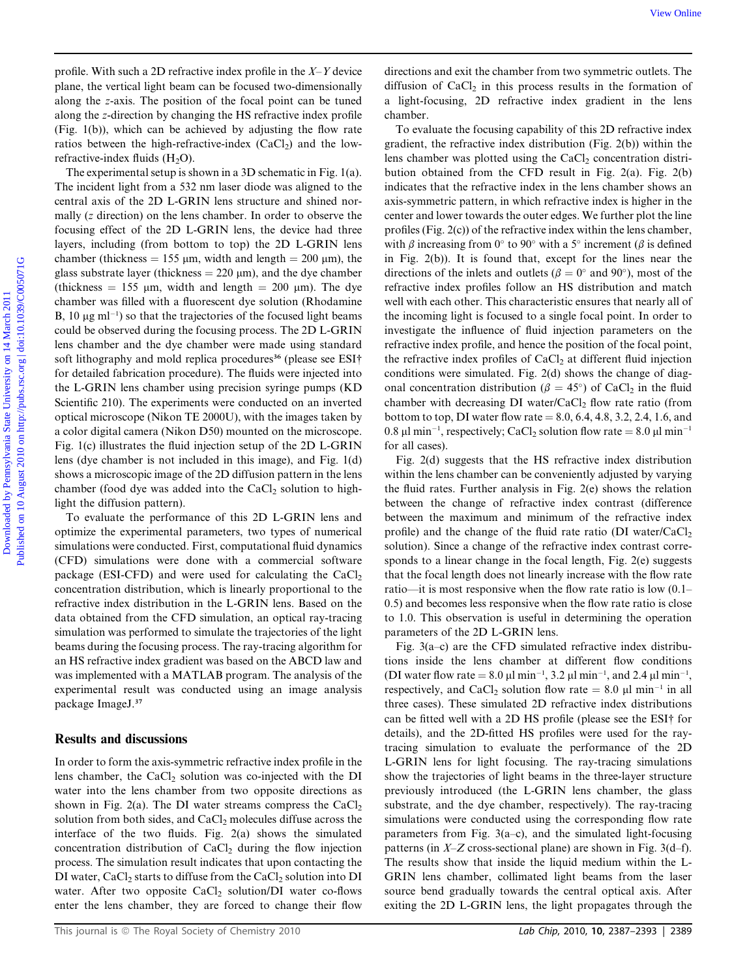profile. With such a 2D refractive index profile in the  $X-Y$  device plane, the vertical light beam can be focused two-dimensionally along the z-axis. The position of the focal point can be tuned along the z-direction by changing the HS refractive index profile (Fig. 1(b)), which can be achieved by adjusting the flow rate ratios between the high-refractive-index  $(CaCl<sub>2</sub>)$  and the lowrefractive-index fluids  $(H<sub>2</sub>O)$ .

The experimental setup is shown in a 3D schematic in Fig. 1(a). The incident light from a 532 nm laser diode was aligned to the central axis of the 2D L-GRIN lens structure and shined normally (z direction) on the lens chamber. In order to observe the focusing effect of the 2D L-GRIN lens, the device had three layers, including (from bottom to top) the 2D L-GRIN lens chamber (thickness = 155 µm, width and length =  $200 \text{ µm}$ ), the glass substrate layer (thickness  $= 220 \text{ }\mu\text{m}$ ), and the dye chamber (thickness  $= 155$  µm, width and length  $= 200$  µm). The dye chamber was filled with a fluorescent dye solution (Rhodamine B,  $10 \mu g$  ml<sup>-1</sup>) so that the trajectories of the focused light beams could be observed during the focusing process. The 2D L-GRIN lens chamber and the dye chamber were made using standard soft lithography and mold replica procedures<sup>36</sup> (please see ESI† for detailed fabrication procedure). The fluids were injected into the L-GRIN lens chamber using precision syringe pumps (KD Scientific 210). The experiments were conducted on an inverted optical microscope (Nikon TE 2000U), with the images taken by a color digital camera (Nikon D50) mounted on the microscope. Fig. 1(c) illustrates the fluid injection setup of the 2D L-GRIN lens (dye chamber is not included in this image), and Fig. 1(d) shows a microscopic image of the 2D diffusion pattern in the lens chamber (food dye was added into the  $CaCl<sub>2</sub>$  solution to highlight the diffusion pattern). Who was profile. With such a 2D retinctive index profile in the X-T device directions and set the channeler from two symultations are plained in the consideration of the Cole in this case, we say that the consideration of

To evaluate the performance of this 2D L-GRIN lens and optimize the experimental parameters, two types of numerical simulations were conducted. First, computational fluid dynamics (CFD) simulations were done with a commercial software package (ESI-CFD) and were used for calculating the  $CaCl<sub>2</sub>$ concentration distribution, which is linearly proportional to the refractive index distribution in the L-GRIN lens. Based on the data obtained from the CFD simulation, an optical ray-tracing simulation was performed to simulate the trajectories of the light beams during the focusing process. The ray-tracing algorithm for an HS refractive index gradient was based on the ABCD law and was implemented with a MATLAB program. The analysis of the experimental result was conducted using an image analysis package ImageJ.<sup>37</sup>

### Results and discussions

In order to form the axis-symmetric refractive index profile in the lens chamber, the CaCl<sub>2</sub> solution was co-injected with the DI water into the lens chamber from two opposite directions as shown in Fig. 2(a). The DI water streams compress the  $CaCl<sub>2</sub>$ solution from both sides, and CaCl<sub>2</sub> molecules diffuse across the interface of the two fluids. Fig. 2(a) shows the simulated concentration distribution of  $CaCl<sub>2</sub>$  during the flow injection process. The simulation result indicates that upon contacting the DI water, CaCl<sub>2</sub> starts to diffuse from the CaCl<sub>2</sub> solution into DI water. After two opposite  $CaCl<sub>2</sub>$  solution/DI water co-flows enter the lens chamber, they are forced to change their flow

directions and exit the chamber from two symmetric outlets. The diffusion of  $CaCl<sub>2</sub>$  in this process results in the formation of a light-focusing, 2D refractive index gradient in the lens chamber.

To evaluate the focusing capability of this 2D refractive index gradient, the refractive index distribution (Fig. 2(b)) within the lens chamber was plotted using the  $CaCl<sub>2</sub>$  concentration distribution obtained from the CFD result in Fig. 2(a). Fig. 2(b) indicates that the refractive index in the lens chamber shows an axis-symmetric pattern, in which refractive index is higher in the center and lower towards the outer edges. We further plot the line profiles (Fig. 2(c)) of the refractive index within the lens chamber, with  $\beta$  increasing from 0° to 90° with a 5° increment ( $\beta$  is defined in Fig. 2(b)). It is found that, except for the lines near the directions of the inlets and outlets ( $\beta = 0^{\circ}$  and 90°), most of the refractive index profiles follow an HS distribution and match well with each other. This characteristic ensures that nearly all of the incoming light is focused to a single focal point. In order to investigate the influence of fluid injection parameters on the refractive index profile, and hence the position of the focal point, the refractive index profiles of CaCl<sub>2</sub> at different fluid injection conditions were simulated. Fig. 2(d) shows the change of diagonal concentration distribution ( $\beta = 45^{\circ}$ ) of CaCl<sub>2</sub> in the fluid chamber with decreasing DI water/CaCl<sub>2</sub> flow rate ratio (from bottom to top, DI water flow rate  $= 8.0, 6.4, 4.8, 3.2, 2.4, 1.6,$  and 0.8  $\mu$ l min<sup>-1</sup>, respectively; CaCl<sub>2</sub> solution flow rate = 8.0  $\mu$ l min<sup>-1</sup> for all cases).

Fig. 2(d) suggests that the HS refractive index distribution within the lens chamber can be conveniently adjusted by varying the fluid rates. Further analysis in Fig. 2(e) shows the relation between the change of refractive index contrast (difference between the maximum and minimum of the refractive index profile) and the change of the fluid rate ratio (DI water/CaCl<sub>2</sub> solution). Since a change of the refractive index contrast corresponds to a linear change in the focal length, Fig. 2(e) suggests that the focal length does not linearly increase with the flow rate ratio—it is most responsive when the flow rate ratio is low (0.1– 0.5) and becomes less responsive when the flow rate ratio is close to 1.0. This observation is useful in determining the operation parameters of the 2D L-GRIN lens.

Fig. 3(a–c) are the CFD simulated refractive index distributions inside the lens chamber at different flow conditions (DI water flow rate = 8.0  $\mu$ l min<sup>-1</sup>, 3.2  $\mu$ l min<sup>-1</sup>, and 2.4  $\mu$ l min<sup>-1</sup>, respectively, and CaCl<sub>2</sub> solution flow rate = 8.0  $\mu$ l min<sup>-1</sup> in all three cases). These simulated 2D refractive index distributions can be fitted well with a 2D HS profile (please see the ESI† for details), and the 2D-fitted HS profiles were used for the raytracing simulation to evaluate the performance of the 2D L-GRIN lens for light focusing. The ray-tracing simulations show the trajectories of light beams in the three-layer structure previously introduced (the L-GRIN lens chamber, the glass substrate, and the dye chamber, respectively). The ray-tracing simulations were conducted using the corresponding flow rate parameters from Fig.  $3(a-c)$ , and the simulated light-focusing patterns (in X–Z cross-sectional plane) are shown in Fig. 3(d–f). The results show that inside the liquid medium within the L-GRIN lens chamber, collimated light beams from the laser source bend gradually towards the central optical axis. After exiting the 2D L-GRIN lens, the light propagates through the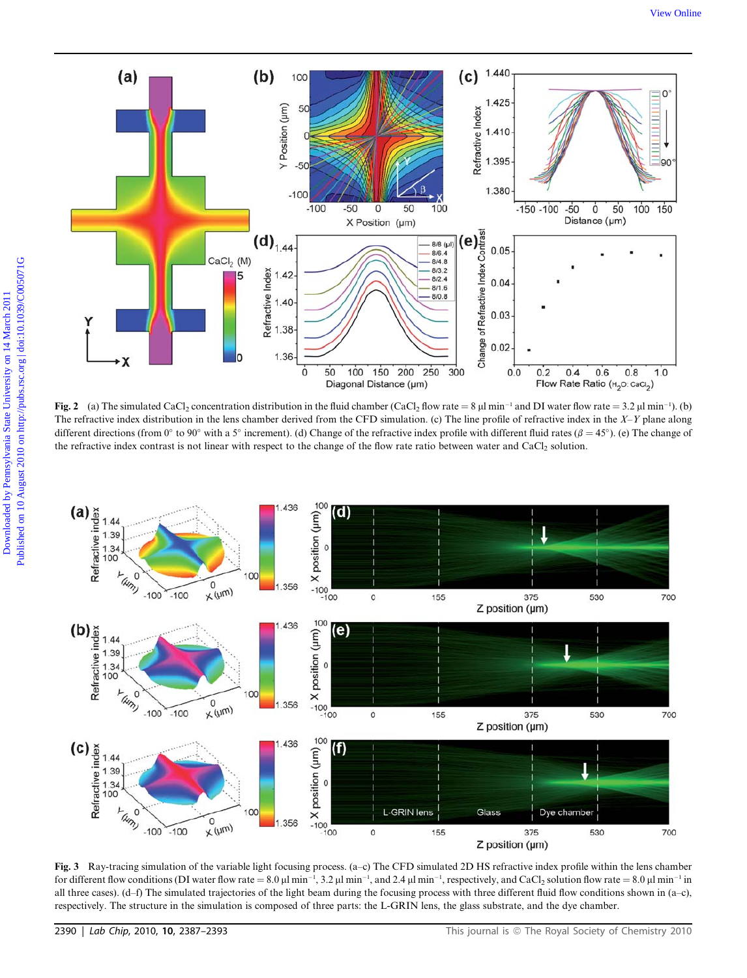

**Fig. 2** (a) The simulated CaCl<sub>2</sub> concentration distribution in the fluid chamber (CaCl<sub>2</sub> flow rate = 8  $\mu$ l min<sup>-1</sup> and DI water flow rate = 3.2  $\mu$ l min<sup>-1</sup>). (b) The refractive index distribution in the lens chamber derived from the CFD simulation. (c) The line profile of refractive index in the  $X-Y$  plane along different directions (from 0° to 90° with a 5° increment). (d) Change of the refractive index profile with different fluid rates ( $\beta = 45$ °). (e) The change of the refractive index contrast is not linear with respect to the change of the flow rate ratio between water and CaCl<sub>2</sub> solution.



Fig. 3 Ray-tracing simulation of the variable light focusing process. (a–c) The CFD simulated 2D HS refractive index profile within the lens chamber for different flow conditions (DI water flow rate =  $8.0 \,\mu\text{I}$  min<sup>-1</sup>,  $3.2 \,\mu\text{I}$  min<sup>-1</sup>, and  $2.4 \,\mu\text{I}$  min<sup>-1</sup>, respectively, and CaCl<sub>2</sub> solution flow rate =  $8.0 \,\mu\text{I}$  min<sup>-1</sup> in all three cases). (d–f) The simulated trajectories of the light beam during the focusing process with three different fluid flow conditions shown in (a–c), respectively. The structure in the simulation is composed of three parts: the L-GRIN lens, the glass substrate, and the dye chamber.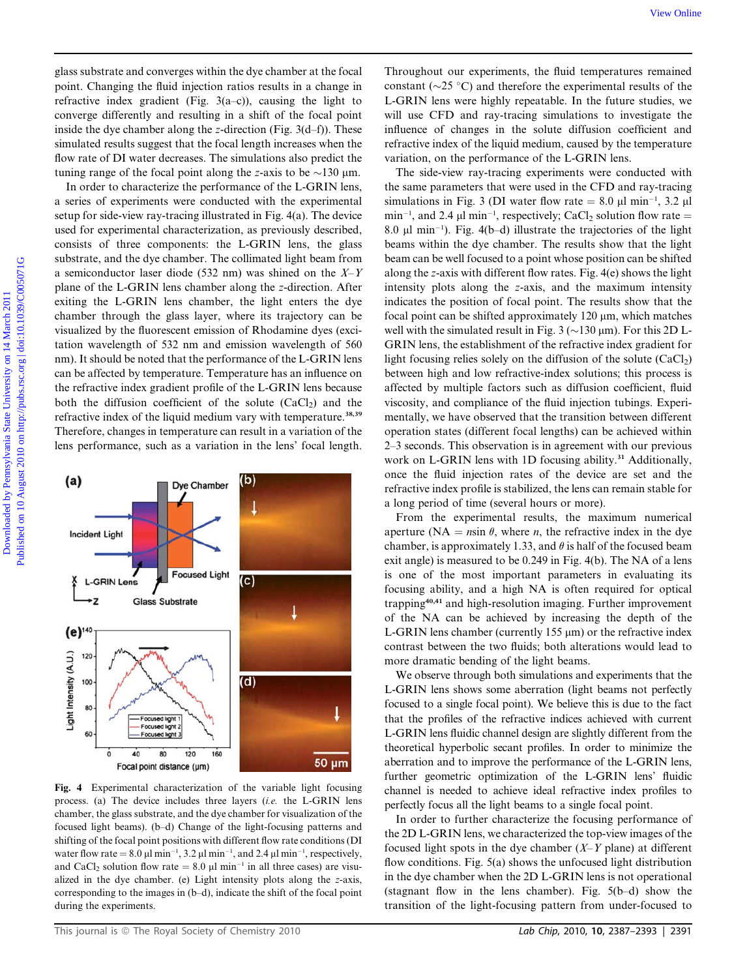glass substrate and converges within the dye chamber at the focal point. Changing the fluid injection ratios results in a change in refractive index gradient (Fig.  $3(a-c)$ ), causing the light to converge differently and resulting in a shift of the focal point inside the dye chamber along the z-direction (Fig.  $3(d-f)$ ). These simulated results suggest that the focal length increases when the flow rate of DI water decreases. The simulations also predict the tuning range of the focal point along the z-axis to be  $\sim$ 130 um.

In order to characterize the performance of the L-GRIN lens, a series of experiments were conducted with the experimental setup for side-view ray-tracing illustrated in Fig. 4(a). The device used for experimental characterization, as previously described, consists of three components: the L-GRIN lens, the glass substrate, and the dye chamber. The collimated light beam from a semiconductor laser diode (532 nm) was shined on the  $X-Y$ plane of the L-GRIN lens chamber along the z-direction. After exiting the L-GRIN lens chamber, the light enters the dye chamber through the glass layer, where its trajectory can be visualized by the fluorescent emission of Rhodamine dyes (excitation wavelength of 532 nm and emission wavelength of 560 nm). It should be noted that the performance of the L-GRIN lens can be affected by temperature. Temperature has an influence on the refractive index gradient profile of the L-GRIN lens because both the diffusion coefficient of the solute  $(CaCl<sub>2</sub>)$  and the refractive index of the liquid medium vary with temperature.<sup>38,39</sup> Therefore, changes in temperature can result in a variation of the lens performance, such as a variation in the lens' focal length.



Fig. 4 Experimental characterization of the variable light focusing process. (a) The device includes three layers (i.e. the L-GRIN lens chamber, the glass substrate, and the dye chamber for visualization of the focused light beams). (b–d) Change of the light-focusing patterns and shifting of the focal point positions with different flow rate conditions (DI water flow rate =  $8.0 \mu l \text{ min}^{-1}$ ,  $3.2 \mu l \text{ min}^{-1}$ , and  $2.4 \mu l \text{ min}^{-1}$ , respectively, and CaCl<sub>2</sub> solution flow rate = 8.0  $\mu$ l min<sup>-1</sup> in all three cases) are visualized in the dye chamber. (e) Light intensity plots along the z-axis, corresponding to the images in (b–d), indicate the shift of the focal point during the experiments.

Throughout our experiments, the fluid temperatures remained constant ( $\sim$ 25 °C) and therefore the experimental results of the L-GRIN lens were highly repeatable. In the future studies, we will use CFD and ray-tracing simulations to investigate the influence of changes in the solute diffusion coefficient and refractive index of the liquid medium, caused by the temperature variation, on the performance of the L-GRIN lens.

The side-view ray-tracing experiments were conducted with the same parameters that were used in the CFD and ray-tracing simulations in Fig. 3 (DI water flow rate  $= 8.0 \text{ }\mu\text{I min}^{-1}$ , 3.2  $\mu\text{I}$  $\min^{-1}$ , and 2.4  $\mu$ l  $\min^{-1}$ , respectively; CaCl<sub>2</sub> solution flow rate =  $8.0 \text{ }\mu\text{l} \text{ min}^{-1}$ ). Fig. 4(b-d) illustrate the trajectories of the light beams within the dye chamber. The results show that the light beam can be well focused to a point whose position can be shifted along the z-axis with different flow rates. Fig. 4(e) shows the light intensity plots along the z-axis, and the maximum intensity indicates the position of focal point. The results show that the focal point can be shifted approximately  $120 \mu m$ , which matches well with the simulated result in Fig.  $3 \times 130 \text{ }\mu\text{m}$ ). For this 2D L-GRIN lens, the establishment of the refractive index gradient for light focusing relies solely on the diffusion of the solute  $(CaCl<sub>2</sub>)$ between high and low refractive-index solutions; this process is affected by multiple factors such as diffusion coefficient, fluid viscosity, and compliance of the fluid injection tubings. Experimentally, we have observed that the transition between different operation states (different focal lengths) can be achieved within 2–3 seconds. This observation is in agreement with our previous work on L-GRIN lens with 1D focusing ability.<sup>31</sup> Additionally, once the fluid injection rates of the device are set and the refractive index profile is stabilized, the lens can remain stable for a long period of time (several hours or more). We Youke<br>
plats substitute and converge seithin the dye chamber at the focal<br>
plats in a domain in a scale, in a domain in a scale, in a domain in a scale of the scale of the scale of the scale of the scale of the scale o

From the experimental results, the maximum numerical aperture (NA =  $n\sin \theta$ , where *n*, the refractive index in the dye chamber, is approximately 1.33, and  $\theta$  is half of the focused beam exit angle) is measured to be 0.249 in Fig. 4(b). The NA of a lens is one of the most important parameters in evaluating its focusing ability, and a high NA is often required for optical trapping40,41 and high-resolution imaging. Further improvement of the NA can be achieved by increasing the depth of the L-GRIN lens chamber (currently  $155 \mu m$ ) or the refractive index contrast between the two fluids; both alterations would lead to more dramatic bending of the light beams.

We observe through both simulations and experiments that the L-GRIN lens shows some aberration (light beams not perfectly focused to a single focal point). We believe this is due to the fact that the profiles of the refractive indices achieved with current L-GRIN lens fluidic channel design are slightly different from the theoretical hyperbolic secant profiles. In order to minimize the aberration and to improve the performance of the L-GRIN lens, further geometric optimization of the L-GRIN lens' fluidic channel is needed to achieve ideal refractive index profiles to perfectly focus all the light beams to a single focal point.

In order to further characterize the focusing performance of the 2D L-GRIN lens, we characterized the top-view images of the focused light spots in the dye chamber  $(X-Y)$  plane) at different flow conditions. Fig. 5(a) shows the unfocused light distribution in the dye chamber when the 2D L-GRIN lens is not operational (stagnant flow in the lens chamber). Fig. 5(b–d) show the transition of the light-focusing pattern from under-focused to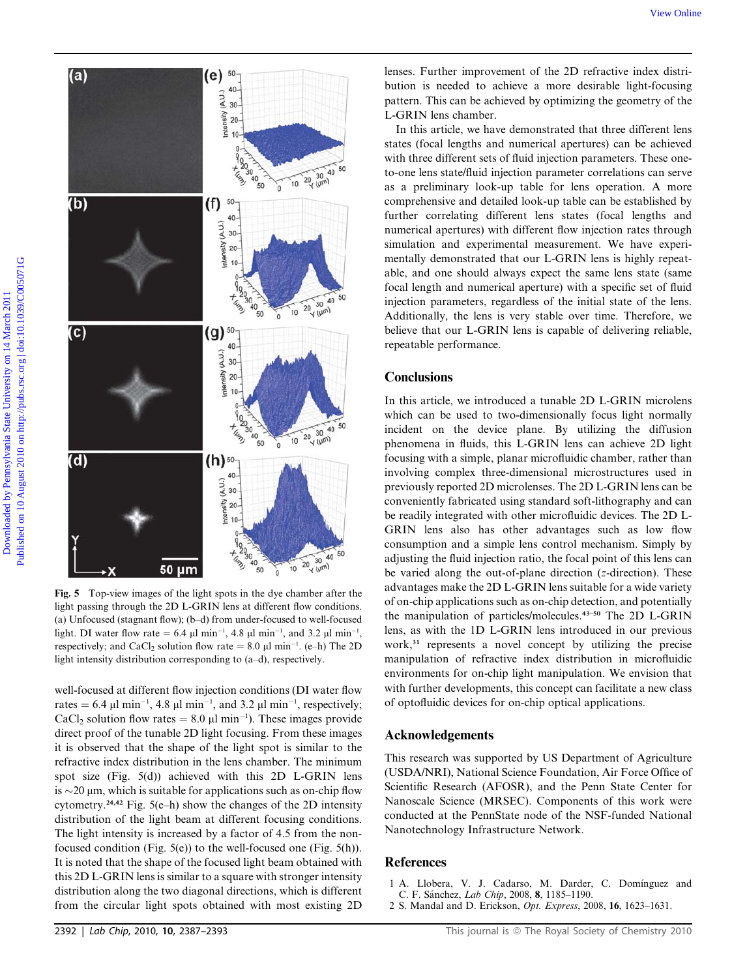

Fig. 5 Top-view images of the light spots in the dye chamber after the light passing through the 2D L-GRIN lens at different flow conditions. (a) Unfocused (stagnant flow); (b–d) from under-focused to well-focused light. DI water flow rate  $= 6.4 \mu l \text{ min}^{-1}$ , 4.8  $\mu l \text{ min}^{-1}$ , and 3.2  $\mu l \text{ min}^{-1}$ , respectively; and CaCl<sub>2</sub> solution flow rate  $= 8.0 \text{ }\mu\text{l min}^{-1}$ . (e-h) The 2D light intensity distribution corresponding to (a–d), respectively.

well-focused at different flow injection conditions (DI water flow rates = 6.4  $\mu$ l min<sup>-1</sup>, 4.8  $\mu$ l min<sup>-1</sup>, and 3.2  $\mu$ l min<sup>-1</sup>, respectively; CaCl<sub>2</sub> solution flow rates = 8.0  $\mu$ l min<sup>-1</sup>). These images provide direct proof of the tunable 2D light focusing. From these images it is observed that the shape of the light spot is similar to the refractive index distribution in the lens chamber. The minimum spot size (Fig. 5(d)) achieved with this 2D L-GRIN lens is  $\sim$ 20  $\mu$ m, which is suitable for applications such as on-chip flow cytometry.24,42 Fig. 5(e–h) show the changes of the 2D intensity distribution of the light beam at different focusing conditions. The light intensity is increased by a factor of 4.5 from the nonfocused condition (Fig. 5(e)) to the well-focused one (Fig. 5(h)). It is noted that the shape of the focused light beam obtained with this 2D L-GRIN lens is similar to a square with stronger intensity distribution along the two diagonal directions, which is different from the circular light spots obtained with most existing 2D

lenses. Further improvement of the 2D refractive index distribution is needed to achieve a more desirable light-focusing pattern. This can be achieved by optimizing the geometry of the L-GRIN lens chamber.

In this article, we have demonstrated that three different lens states (focal lengths and numerical apertures) can be achieved with three different sets of fluid injection parameters. These oneto-one lens state/fluid injection parameter correlations can serve as a preliminary look-up table for lens operation. A more comprehensive and detailed look-up table can be established by further correlating different lens states (focal lengths and numerical apertures) with different flow injection rates through simulation and experimental measurement. We have experimentally demonstrated that our L-GRIN lens is highly repeatable, and one should always expect the same lens state (same focal length and numerical aperture) with a specific set of fluid injection parameters, regardless of the initial state of the lens. Additionally, the lens is very stable over time. Therefore, we believe that our L-GRIN lens is capable of delivering reliable, repeatable performance.

## **Conclusions**

In this article, we introduced a tunable 2D L-GRIN microlens which can be used to two-dimensionally focus light normally incident on the device plane. By utilizing the diffusion phenomena in fluids, this L-GRIN lens can achieve 2D light focusing with a simple, planar microfluidic chamber, rather than involving complex three-dimensional microstructures used in previously reported 2D microlenses. The 2D L-GRIN lens can be conveniently fabricated using standard soft-lithography and can be readily integrated with other microfluidic devices. The 2D L-GRIN lens also has other advantages such as low flow consumption and a simple lens control mechanism. Simply by adjusting the fluid injection ratio, the focal point of this lens can be varied along the out-of-plane direction (z-direction). These advantages make the 2D L-GRIN lens suitable for a wide variety of on-chip applications such as on-chip detection, and potentially the manipulation of particles/molecules.43–50 The 2D L-GRIN lens, as with the 1D L-GRIN lens introduced in our previous work,<sup>31</sup> represents a novel concept by utilizing the precise manipulation of refractive index distribution in microfluidic environments for on-chip light manipulation. We envision that with further developments, this concept can facilitate a new class of optofluidic devices for on-chip optical applications.

#### Acknowledgements

This research was supported by US Department of Agriculture (USDA/NRI), National Science Foundation, Air Force Office of Scientific Research (AFOSR), and the Penn State Center for Nanoscale Science (MRSEC). Components of this work were conducted at the PennState node of the NSF-funded National Nanotechnology Infrastructure Network.

#### References

- 1 A. Llobera, V. J. Cadarso, M. Darder, C. Domínguez and C. F. Sánchez, Lab Chip, 2008, 8, 1185-1190.
- 2 S. Mandal and D. Erickson, Opt. Express, 2008, 16, 1623–1631.